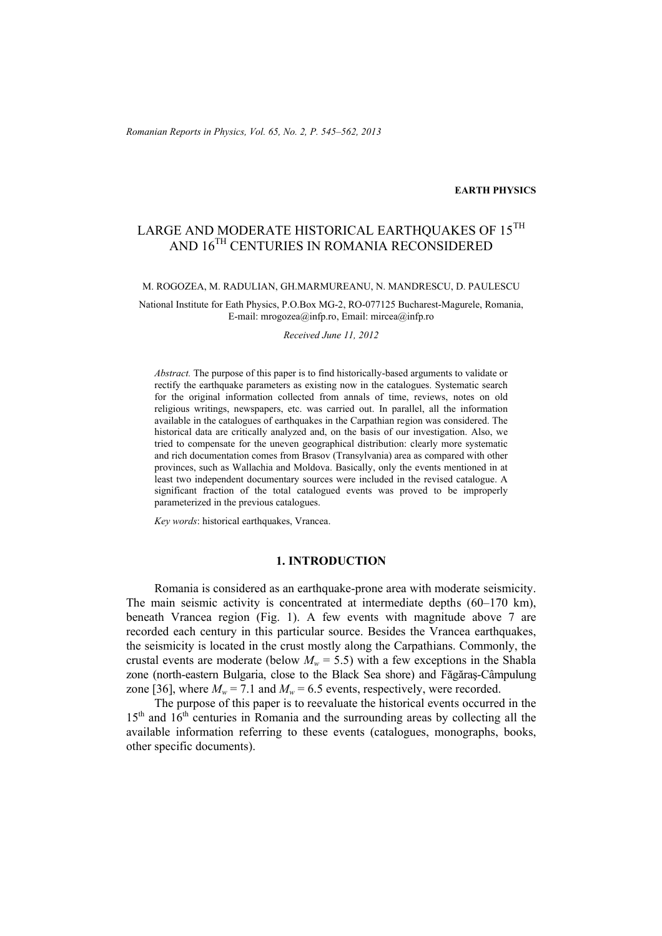### **EARTH PHYSICS**

# LARGE AND MODERATE HISTORICAL EARTHOUAKES OF 15TH AND 16TH CENTURIES IN ROMANIA RECONSIDERED

#### M. ROGOZEA, M. RADULIAN, GH.MARMUREANU, N. MANDRESCU, D. PAULESCU

National Institute for Eath Physics, P.O.Box MG-2, RO-077125 Bucharest-Magurele, Romania, E-mail: mrogozea@infp.ro, Email: mircea@infp.ro

#### *Received June 11, 2012*

*Abstract.* The purpose of this paper is to find historically-based arguments to validate or rectify the earthquake parameters as existing now in the catalogues. Systematic search for the original information collected from annals of time, reviews, notes on old religious writings, newspapers, etc. was carried out. In parallel, all the information available in the catalogues of earthquakes in the Carpathian region was considered. The historical data are critically analyzed and, on the basis of our investigation. Also, we tried to compensate for the uneven geographical distribution: clearly more systematic and rich documentation comes from Brasov (Transylvania) area as compared with other provinces, such as Wallachia and Moldova. Basically, only the events mentioned in at least two independent documentary sources were included in the revised catalogue. A significant fraction of the total catalogued events was proved to be improperly parameterized in the previous catalogues.

*Key words*: historical earthquakes, Vrancea.

## **1. INTRODUCTION**

Romania is considered as an earthquake-prone area with moderate seismicity. The main seismic activity is concentrated at intermediate depths (60–170 km), beneath Vrancea region (Fig. 1). A few events with magnitude above 7 are recorded each century in this particular source. Besides the Vrancea earthquakes, the seismicity is located in the crust mostly along the Carpathians. Commonly, the crustal events are moderate (below  $M_w = 5.5$ ) with a few exceptions in the Shabla zone (north-eastern Bulgaria, close to the Black Sea shore) and Făgăraş-Câmpulung zone [36], where  $M_w = 7.1$  and  $M_w = 6.5$  events, respectively, were recorded.

The purpose of this paper is to reevaluate the historical events occurred in the  $15<sup>th</sup>$  and  $16<sup>th</sup>$  centuries in Romania and the surrounding areas by collecting all the available information referring to these events (catalogues, monographs, books, other specific documents).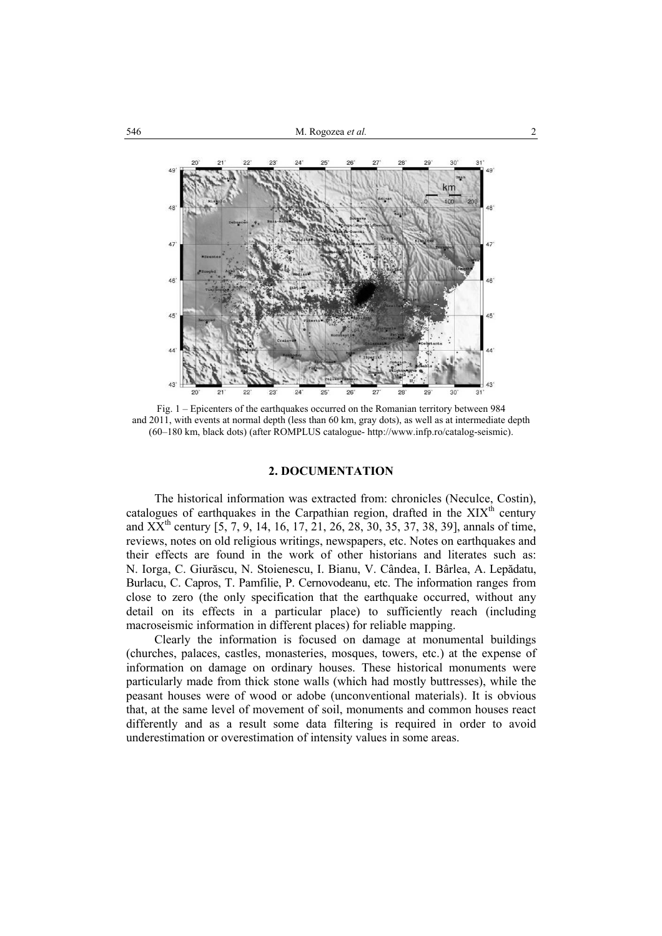

Fig. 1 – Epicenters of the earthquakes occurred on the Romanian territory between 984 and 2011, with events at normal depth (less than 60 km, gray dots), as well as at intermediate depth (60–180 km, black dots) (after ROMPLUS catalogue- http://www.infp.ro/catalog-seismic).

## **2. DOCUMENTATION**

The historical information was extracted from: chronicles (Neculce, Costin), catalogues of earthquakes in the Carpathian region, drafted in the  $XIX<sup>th</sup>$  century and  $XX<sup>th</sup>$  century  $[5, 7, 9, 14, 16, 17, 21, 26, 28, 30, 35, 37, 38, 39]$ , annals of time, reviews, notes on old religious writings, newspapers, etc. Notes on earthquakes and their effects are found in the work of other historians and literates such as: N. Iorga, C. Giurăscu, N. Stoienescu, I. Bianu, V. Cândea, I. Bârlea, A. Lepădatu, Burlacu, C. Capros, T. Pamfilie, P. Cernovodeanu, etc. The information ranges from close to zero (the only specification that the earthquake occurred, without any detail on its effects in a particular place) to sufficiently reach (including macroseismic information in different places) for reliable mapping.

Clearly the information is focused on damage at monumental buildings (churches, palaces, castles, monasteries, mosques, towers, etc.) at the expense of information on damage on ordinary houses. These historical monuments were particularly made from thick stone walls (which had mostly buttresses), while the peasant houses were of wood or adobe (unconventional materials). It is obvious that, at the same level of movement of soil, monuments and common houses react differently and as a result some data filtering is required in order to avoid underestimation or overestimation of intensity values in some areas.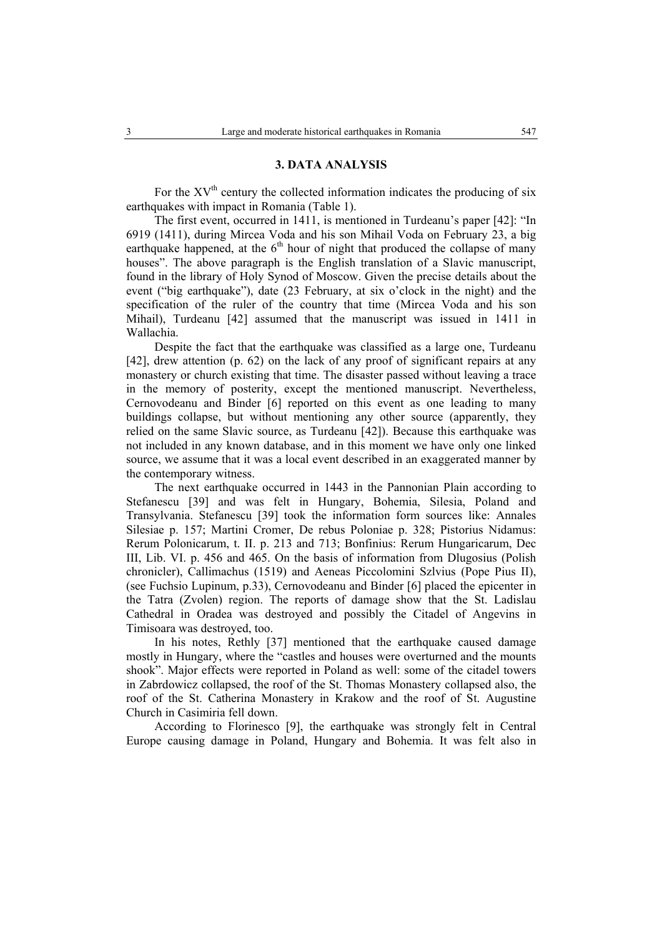#### **3. DATA ANALYSIS**

For the  $XV<sup>th</sup>$  century the collected information indicates the producing of six earthquakes with impact in Romania (Table 1).

The first event, occurred in 1411, is mentioned in Turdeanu's paper [42]: "In 6919 (1411), during Mircea Voda and his son Mihail Voda on February 23, a big earthquake happened, at the  $6<sup>th</sup>$  hour of night that produced the collapse of many houses". The above paragraph is the English translation of a Slavic manuscript, found in the library of Holy Synod of Moscow. Given the precise details about the event ("big earthquake"), date (23 February, at six o'clock in the night) and the specification of the ruler of the country that time (Mircea Voda and his son Mihail), Turdeanu [42] assumed that the manuscript was issued in 1411 in Wallachia.

Despite the fact that the earthquake was classified as a large one, Turdeanu [42], drew attention (p. 62) on the lack of any proof of significant repairs at any monastery or church existing that time. The disaster passed without leaving a trace in the memory of posterity, except the mentioned manuscript. Nevertheless, Cernovodeanu and Binder [6] reported on this event as one leading to many buildings collapse, but without mentioning any other source (apparently, they relied on the same Slavic source, as Turdeanu [42]). Because this earthquake was not included in any known database, and in this moment we have only one linked source, we assume that it was a local event described in an exaggerated manner by the contemporary witness.

The next earthquake occurred in 1443 in the Pannonian Plain according to Stefanescu [39] and was felt in Hungary, Bohemia, Silesia, Poland and Transylvania. Stefanescu [39] took the information form sources like: Annales Silesiae p. 157; Martini Cromer, De rebus Poloniae p. 328; Pistorius Nidamus: Rerum Polonicarum, t. II. p. 213 and 713; Bonfinius: Rerum Hungaricarum, Dec III, Lib. VI. p. 456 and 465. On the basis of information from Dlugosius (Polish chronicler), Callimachus (1519) and Aeneas Piccolomini Szlvius (Pope Pius II), (see Fuchsio Lupinum, p.33), Cernovodeanu and Binder [6] placed the epicenter in the Tatra (Zvolen) region. The reports of damage show that the St. Ladislau Cathedral in Oradea was destroyed and possibly the Citadel of Angevins in Timisoara was destroyed, too.

In his notes, Rethly [37] mentioned that the earthquake caused damage mostly in Hungary, where the "castles and houses were overturned and the mounts shook". Major effects were reported in Poland as well: some of the citadel towers in Zabrdowicz collapsed, the roof of the St. Thomas Monastery collapsed also, the roof of the St. Catherina Monastery in Krakow and the roof of St. Augustine Church in Casimiria fell down.

According to Florinesco [9], the earthquake was strongly felt in Central Europe causing damage in Poland, Hungary and Bohemia. It was felt also in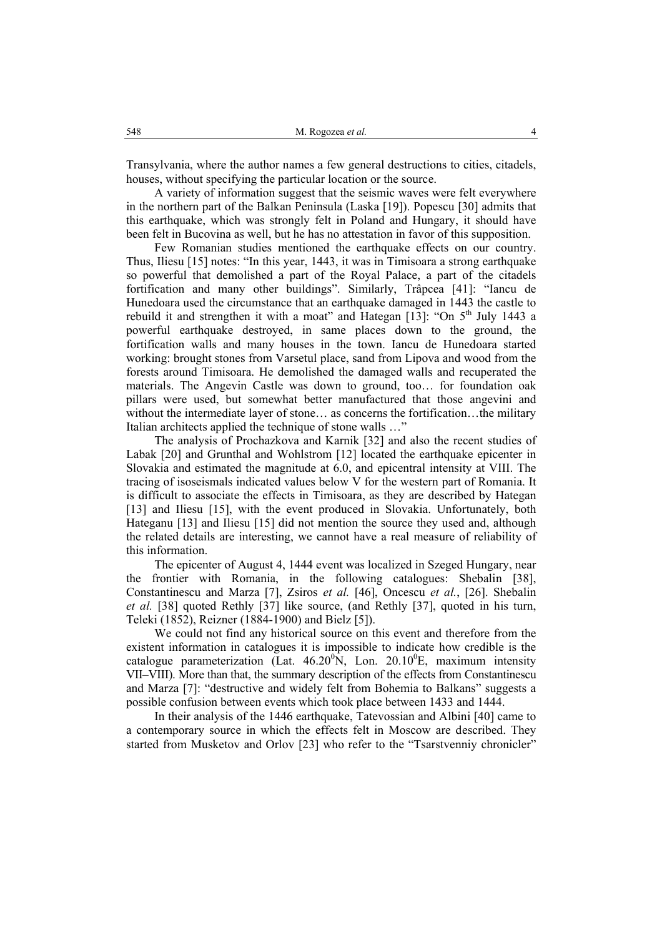Transylvania, where the author names a few general destructions to cities, citadels, houses, without specifying the particular location or the source.

A variety of information suggest that the seismic waves were felt everywhere in the northern part of the Balkan Peninsula (Laska [19]). Popescu [30] admits that this earthquake, which was strongly felt in Poland and Hungary, it should have been felt in Bucovina as well, but he has no attestation in favor of this supposition.

Few Romanian studies mentioned the earthquake effects on our country. Thus, Iliesu [15] notes: "In this year, 1443, it was in Timisoara a strong earthquake so powerful that demolished a part of the Royal Palace, a part of the citadels fortification and many other buildings". Similarly, Trâpcea [41]: "Iancu de Hunedoara used the circumstance that an earthquake damaged in 1443 the castle to rebuild it and strengthen it with a moat" and Hategan  $[13]$ : "On  $5<sup>th</sup>$  July 1443 a powerful earthquake destroyed, in same places down to the ground, the fortification walls and many houses in the town. Iancu de Hunedoara started working: brought stones from Varsetul place, sand from Lipova and wood from the forests around Timisoara. He demolished the damaged walls and recuperated the materials. The Angevin Castle was down to ground, too… for foundation oak pillars were used, but somewhat better manufactured that those angevini and without the intermediate layer of stone… as concerns the fortification…the military Italian architects applied the technique of stone walls …"

The analysis of Prochazkova and Karnik [32] and also the recent studies of Labak [20] and Grunthal and Wohlstrom [12] located the earthquake epicenter in Slovakia and estimated the magnitude at 6.0, and epicentral intensity at VIII. The tracing of isoseismals indicated values below V for the western part of Romania. It is difficult to associate the effects in Timisoara, as they are described by Hategan [13] and Iliesu [15], with the event produced in Slovakia. Unfortunately, both Hateganu [13] and Iliesu [15] did not mention the source they used and, although the related details are interesting, we cannot have a real measure of reliability of this information.

The epicenter of August 4, 1444 event was localized in Szeged Hungary, near the frontier with Romania, in the following catalogues: Shebalin [38], Constantinescu and Marza [7], Zsiros *et al.* [46], Oncescu *et al.*, [26]. Shebalin *et al.* [38] quoted Rethly [37] like source, (and Rethly [37], quoted in his turn, Teleki (1852), Reizner (1884-1900) and Bielz [5]).

We could not find any historical source on this event and therefore from the existent information in catalogues it is impossible to indicate how credible is the catalogue parameterization (Lat.  $46.20^{\circ}$ N, Lon. 20.10<sup>o</sup>E, maximum intensity VII–VIII). More than that, the summary description of the effects from Constantinescu and Marza [7]: "destructive and widely felt from Bohemia to Balkans" suggests a possible confusion between events which took place between 1433 and 1444.

In their analysis of the 1446 earthquake, Tatevossian and Albini [40] came to a contemporary source in which the effects felt in Moscow are described. They started from Musketov and Orlov [23] who refer to the "Tsarstvenniy chronicler"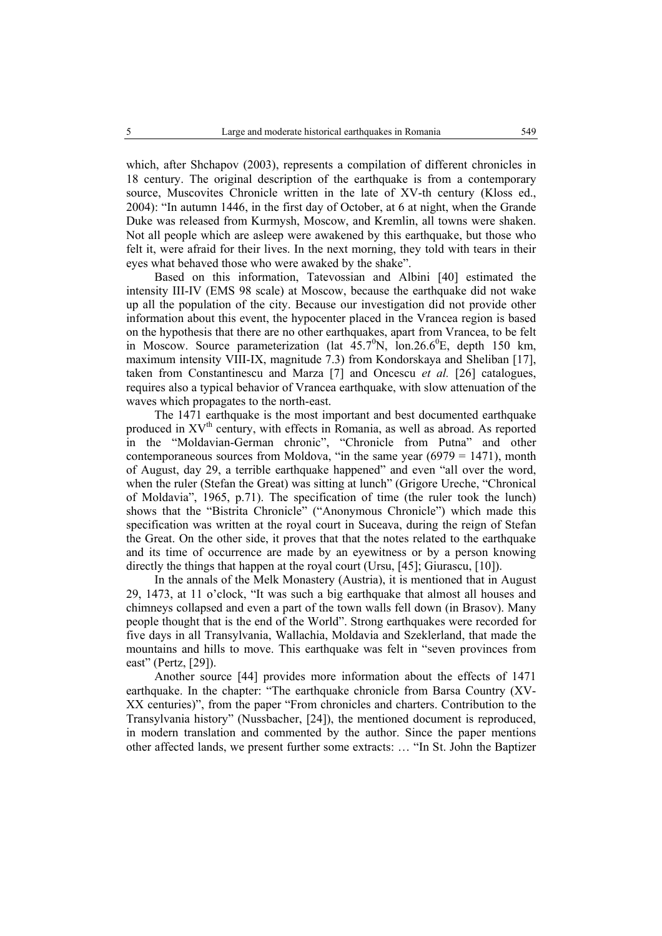which, after Shchapov (2003), represents a compilation of different chronicles in 18 century. The original description of the earthquake is from a contemporary source, Muscovites Chronicle written in the late of XV-th century (Kloss ed., 2004): "In autumn 1446, in the first day of October, at 6 at night, when the Grande Duke was released from Kurmysh, Moscow, and Kremlin, all towns were shaken. Not all people which are asleep were awakened by this earthquake, but those who felt it, were afraid for their lives. In the next morning, they told with tears in their eyes what behaved those who were awaked by the shake".

Based on this information, Tatevossian and Albini [40] estimated the intensity III-IV (EMS 98 scale) at Moscow, because the earthquake did not wake up all the population of the city. Because our investigation did not provide other information about this event, the hypocenter placed in the Vrancea region is based on the hypothesis that there are no other earthquakes, apart from Vrancea, to be felt in Moscow. Source parameterization (lat  $45.7^{\circ}N$ , lon.26.6<sup>o</sup>E, depth 150 km, maximum intensity VIII-IX, magnitude 7.3) from Kondorskaya and Sheliban [17], taken from Constantinescu and Marza [7] and Oncescu *et al.* [26] catalogues, requires also a typical behavior of Vrancea earthquake, with slow attenuation of the waves which propagates to the north-east.

The 1471 earthquake is the most important and best documented earthquake produced in XV<sup>th</sup> century, with effects in Romania, as well as abroad. As reported in the "Moldavian-German chronic", "Chronicle from Putna" and other contemporaneous sources from Moldova, "in the same year  $(6979 = 1471)$ , month of August, day 29, a terrible earthquake happened" and even "all over the word, when the ruler (Stefan the Great) was sitting at lunch" (Grigore Ureche, "Chronical of Moldavia", 1965, p.71). The specification of time (the ruler took the lunch) shows that the "Bistrita Chronicle" ("Anonymous Chronicle") which made this specification was written at the royal court in Suceava, during the reign of Stefan the Great. On the other side, it proves that that the notes related to the earthquake and its time of occurrence are made by an eyewitness or by a person knowing directly the things that happen at the royal court (Ursu, [45]; Giurascu, [10]).

In the annals of the Melk Monastery (Austria), it is mentioned that in August 29, 1473, at 11 o'clock, "It was such a big earthquake that almost all houses and chimneys collapsed and even a part of the town walls fell down (in Brasov). Many people thought that is the end of the World". Strong earthquakes were recorded for five days in all Transylvania, Wallachia, Moldavia and Szeklerland, that made the mountains and hills to move. This earthquake was felt in "seven provinces from east" (Pertz, [29]).

Another source [44] provides more information about the effects of 1471 earthquake. In the chapter: "The earthquake chronicle from Barsa Country (XV-XX centuries)", from the paper "From chronicles and charters. Contribution to the Transylvania history" (Nussbacher, [24]), the mentioned document is reproduced, in modern translation and commented by the author. Since the paper mentions other affected lands, we present further some extracts: … "In St. John the Baptizer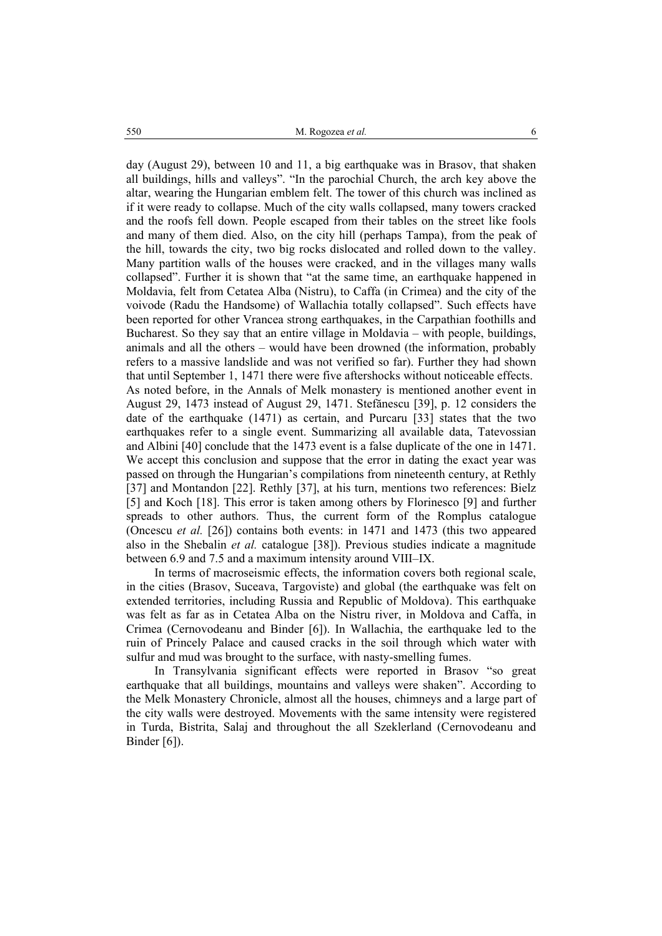day (August 29), between 10 and 11, a big earthquake was in Brasov, that shaken all buildings, hills and valleys". "In the parochial Church, the arch key above the altar, wearing the Hungarian emblem felt. The tower of this church was inclined as if it were ready to collapse. Much of the city walls collapsed, many towers cracked and the roofs fell down. People escaped from their tables on the street like fools and many of them died. Also, on the city hill (perhaps Tampa), from the peak of the hill, towards the city, two big rocks dislocated and rolled down to the valley. Many partition walls of the houses were cracked, and in the villages many walls collapsed". Further it is shown that "at the same time, an earthquake happened in Moldavia, felt from Cetatea Alba (Nistru), to Caffa (in Crimea) and the city of the voivode (Radu the Handsome) of Wallachia totally collapsed". Such effects have been reported for other Vrancea strong earthquakes, in the Carpathian foothills and Bucharest. So they say that an entire village in Moldavia – with people, buildings, animals and all the others – would have been drowned (the information, probably refers to a massive landslide and was not verified so far). Further they had shown that until September 1, 1471 there were five aftershocks without noticeable effects. As noted before, in the Annals of Melk monastery is mentioned another event in August 29, 1473 instead of August 29, 1471. Stefănescu [39], p. 12 considers the date of the earthquake (1471) as certain, and Purcaru [33] states that the two earthquakes refer to a single event. Summarizing all available data, Tatevossian and Albini [40] conclude that the 1473 event is a false duplicate of the one in 1471. We accept this conclusion and suppose that the error in dating the exact year was passed on through the Hungarian's compilations from nineteenth century, at Rethly [37] and Montandon [22]. Rethly [37], at his turn, mentions two references: Bielz [5] and Koch [18]. This error is taken among others by Florinesco [9] and further spreads to other authors. Thus, the current form of the Romplus catalogue (Oncescu *et al.* [26]) contains both events: in 1471 and 1473 (this two appeared also in the Shebalin *et al.* catalogue [38]). Previous studies indicate a magnitude between 6.9 and 7.5 and a maximum intensity around VIII–IX.

In terms of macroseismic effects, the information covers both regional scale, in the cities (Brasov, Suceava, Targoviste) and global (the earthquake was felt on extended territories, including Russia and Republic of Moldova). This earthquake was felt as far as in Cetatea Alba on the Nistru river, in Moldova and Caffa, in Crimea (Cernovodeanu and Binder [6]). In Wallachia, the earthquake led to the ruin of Princely Palace and caused cracks in the soil through which water with sulfur and mud was brought to the surface, with nasty-smelling fumes.

In Transylvania significant effects were reported in Brasov "so great earthquake that all buildings, mountains and valleys were shaken". According to the Melk Monastery Chronicle, almost all the houses, chimneys and a large part of the city walls were destroyed. Movements with the same intensity were registered in Turda, Bistrita, Salaj and throughout the all Szeklerland (Cernovodeanu and Binder [6]).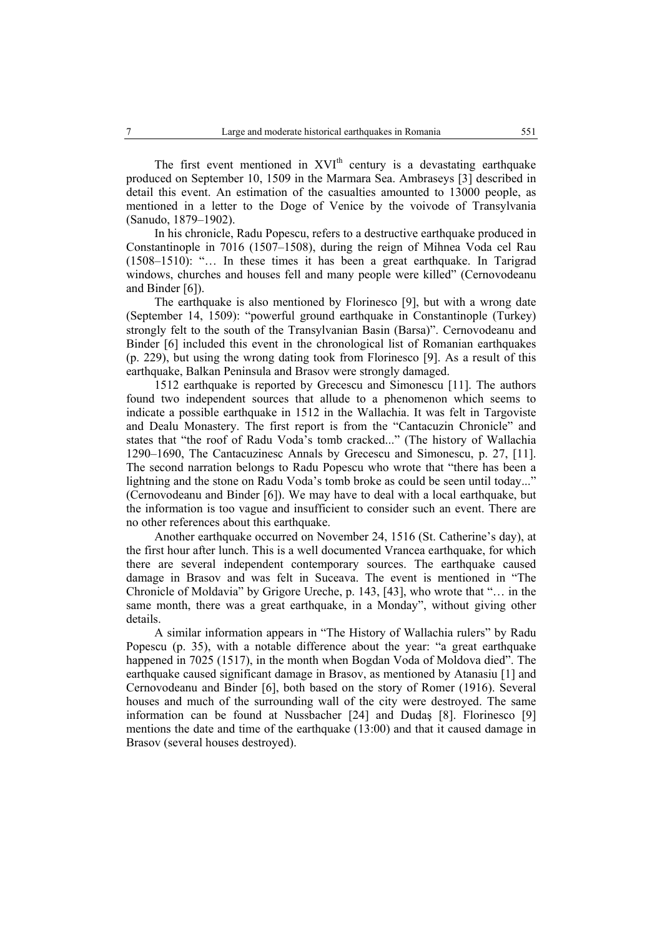The first event mentioned in  $XVI<sup>th</sup>$  century is a devastating earthquake produced on September 10, 1509 in the Marmara Sea. Ambraseys [3] described in detail this event. An estimation of the casualties amounted to 13000 people, as mentioned in a letter to the Doge of Venice by the voivode of Transylvania (Sanudo, 1879–1902).

In his chronicle, Radu Popescu, refers to a destructive earthquake produced in Constantinople in 7016 (1507–1508), during the reign of Mihnea Voda cel Rau (1508–1510): "… In these times it has been a great earthquake. In Tarigrad windows, churches and houses fell and many people were killed" (Cernovodeanu and Binder [6]).

The earthquake is also mentioned by Florinesco [9], but with a wrong date (September 14, 1509): "powerful ground earthquake in Constantinople (Turkey) strongly felt to the south of the Transylvanian Basin (Barsa)". Cernovodeanu and Binder [6] included this event in the chronological list of Romanian earthquakes (p. 229), but using the wrong dating took from Florinesco [9]. As a result of this earthquake, Balkan Peninsula and Brasov were strongly damaged.

1512 earthquake is reported by Grecescu and Simonescu [11]. The authors found two independent sources that allude to a phenomenon which seems to indicate a possible earthquake in 1512 in the Wallachia. It was felt in Targoviste and Dealu Monastery. The first report is from the "Cantacuzin Chronicle" and states that "the roof of Radu Voda's tomb cracked..." (The history of Wallachia 1290–1690, The Cantacuzinesc Annals by Grecescu and Simonescu, p. 27, [11]. The second narration belongs to Radu Popescu who wrote that "there has been a lightning and the stone on Radu Voda's tomb broke as could be seen until today..." (Cernovodeanu and Binder [6]). We may have to deal with a local earthquake, but the information is too vague and insufficient to consider such an event. There are no other references about this earthquake.

Another earthquake occurred on November 24, 1516 (St. Catherine's day), at the first hour after lunch. This is a well documented Vrancea earthquake, for which there are several independent contemporary sources. The earthquake caused damage in Brasov and was felt in Suceava. The event is mentioned in "The Chronicle of Moldavia" by Grigore Ureche, p. 143, [43], who wrote that "… in the same month, there was a great earthquake, in a Monday", without giving other details.

A similar information appears in "The History of Wallachia rulers" by Radu Popescu (p. 35), with a notable difference about the year: "a great earthquake happened in 7025 (1517), in the month when Bogdan Voda of Moldova died". The earthquake caused significant damage in Brasov, as mentioned by Atanasiu [1] and Cernovodeanu and Binder [6], both based on the story of Romer (1916). Several houses and much of the surrounding wall of the city were destroyed. The same information can be found at Nussbacher [24] and Dudaş [8]. Florinesco [9] mentions the date and time of the earthquake (13:00) and that it caused damage in Brasov (several houses destroyed).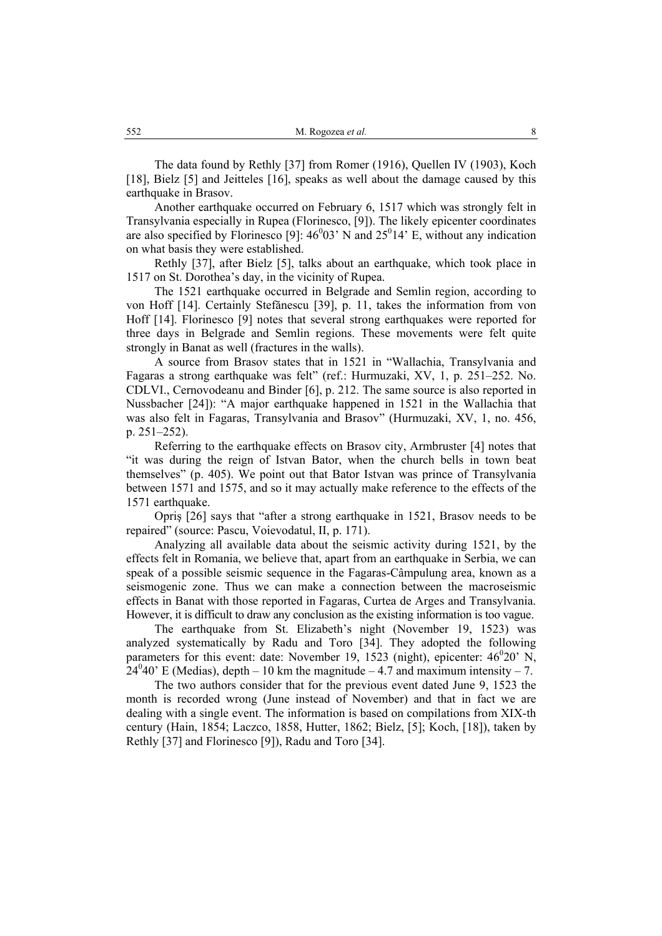The data found by Rethly [37] from Romer (1916), Quellen IV (1903), Koch [18], Bielz [5] and Jeitteles [16], speaks as well about the damage caused by this earthquake in Brasov.

Another earthquake occurred on February 6, 1517 which was strongly felt in Transylvania especially in Rupea (Florinesco, [9]). The likely epicenter coordinates are also specified by Florinesco [9]:  $46^0$ 03' N and  $25^0$ 14' E, without any indication on what basis they were established.

Rethly [37], after Bielz [5], talks about an earthquake, which took place in 1517 on St. Dorothea's day, in the vicinity of Rupea.

The 1521 earthquake occurred in Belgrade and Semlin region, according to von Hoff [14]. Certainly Stefănescu [39], p. 11, takes the information from von Hoff [14]. Florinesco [9] notes that several strong earthquakes were reported for three days in Belgrade and Semlin regions. These movements were felt quite strongly in Banat as well (fractures in the walls).

A source from Brasov states that in 1521 in "Wallachia, Transylvania and Fagaras a strong earthquake was felt" (ref.: Hurmuzaki, XV, 1, p. 251–252. No. CDLVI., Cernovodeanu and Binder [6], p. 212. The same source is also reported in Nussbacher [24]): "A major earthquake happened in 1521 in the Wallachia that was also felt in Fagaras, Transylvania and Brasov" (Hurmuzaki, XV, 1, no. 456, p. 251–252).

Referring to the earthquake effects on Brasov city, Armbruster [4] notes that "it was during the reign of Istvan Bator, when the church bells in town beat themselves" (p. 405). We point out that Bator Istvan was prince of Transylvania between 1571 and 1575, and so it may actually make reference to the effects of the 1571 earthquake.

Opriş [26] says that "after a strong earthquake in 1521, Brasov needs to be repaired" (source: Pascu, Voievodatul, II, p. 171).

Analyzing all available data about the seismic activity during 1521, by the effects felt in Romania, we believe that, apart from an earthquake in Serbia, we can speak of a possible seismic sequence in the Fagaras-Câmpulung area, known as a seismogenic zone. Thus we can make a connection between the macroseismic effects in Banat with those reported in Fagaras, Curtea de Arges and Transylvania. However, it is difficult to draw any conclusion as the existing information is too vague.

The earthquake from St. Elizabeth's night (November 19, 1523) was analyzed systematically by Radu and Toro [34]. They adopted the following parameters for this event: date: November 19, 1523 (night), epicenter:  $46^{\circ}20'$  N,  $24^040$ <sup>o</sup> E (Medias), depth – 10 km the magnitude – 4.7 and maximum intensity – 7.

The two authors consider that for the previous event dated June 9, 1523 the month is recorded wrong (June instead of November) and that in fact we are dealing with a single event. The information is based on compilations from XIX-th century (Hain, 1854; Laczco, 1858, Hutter, 1862; Bielz, [5]; Koch, [18]), taken by Rethly [37] and Florinesco [9]), Radu and Toro [34].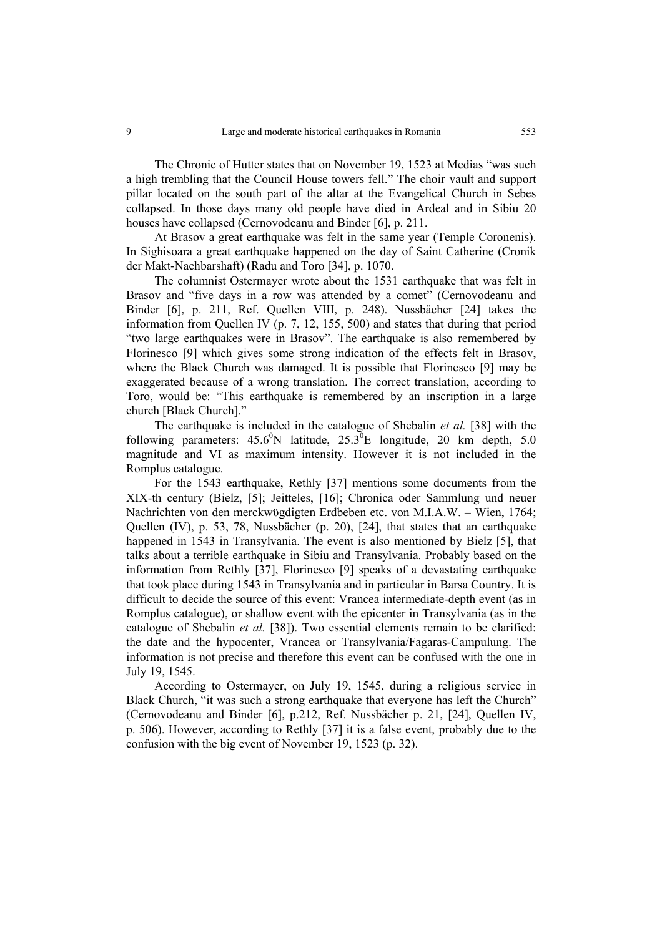The Chronic of Hutter states that on November 19, 1523 at Medias "was such a high trembling that the Council House towers fell." The choir vault and support pillar located on the south part of the altar at the Evangelical Church in Sebes collapsed. In those days many old people have died in Ardeal and in Sibiu 20 houses have collapsed (Cernovodeanu and Binder [6], p. 211.

At Brasov a great earthquake was felt in the same year (Temple Coronenis). In Sighisoara a great earthquake happened on the day of Saint Catherine (Cronik der Makt-Nachbarshaft) (Radu and Toro [34], p. 1070.

The columnist Ostermayer wrote about the 1531 earthquake that was felt in Brasov and "five days in a row was attended by a comet" (Cernovodeanu and Binder [6], p. 211, Ref. Quellen VIII, p. 248). Nussbächer [24] takes the information from Quellen IV (p. 7, 12, 155, 500) and states that during that period "two large earthquakes were in Brasov". The earthquake is also remembered by Florinesco [9] which gives some strong indication of the effects felt in Brasov, where the Black Church was damaged. It is possible that Florinesco [9] may be exaggerated because of a wrong translation. The correct translation, according to Toro, would be: "This earthquake is remembered by an inscription in a large church [Black Church]."

The earthquake is included in the catalogue of Shebalin *et al.* [38] with the following parameters:  $45.6^{\circ}$ N latitude,  $25.3^{\circ}$ E longitude, 20 km depth, 5.0 magnitude and VI as maximum intensity. However it is not included in the Romplus catalogue.

For the 1543 earthquake, Rethly [37] mentions some documents from the XIX-th century (Bielz, [5]; Jeitteles, [16]; Chronica oder Sammlung und neuer Nachrichten von den merckwϋgdigten Erdbeben etc. von M.I.A.W. – Wien, 1764; Quellen (IV), p. 53, 78, Nussbächer (p. 20), [24], that states that an earthquake happened in 1543 in Transylvania. The event is also mentioned by Bielz [5], that talks about a terrible earthquake in Sibiu and Transylvania. Probably based on the information from Rethly [37], Florinesco [9] speaks of a devastating earthquake that took place during 1543 in Transylvania and in particular in Barsa Country. It is difficult to decide the source of this event: Vrancea intermediate-depth event (as in Romplus catalogue), or shallow event with the epicenter in Transylvania (as in the catalogue of Shebalin *et al.* [38]). Two essential elements remain to be clarified: the date and the hypocenter, Vrancea or Transylvania/Fagaras-Campulung. The information is not precise and therefore this event can be confused with the one in July 19, 1545.

According to Ostermayer, on July 19, 1545, during a religious service in Black Church, "it was such a strong earthquake that everyone has left the Church" (Cernovodeanu and Binder [6], p.212, Ref. Nussbächer p. 21, [24], Quellen IV, p. 506). However, according to Rethly [37] it is a false event, probably due to the confusion with the big event of November 19, 1523 (p. 32).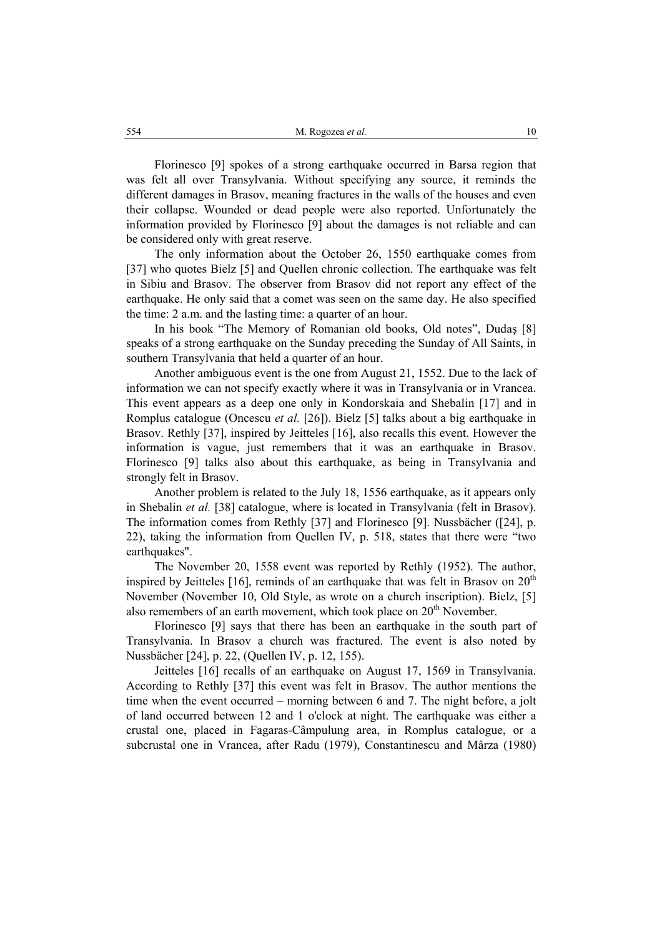Florinesco [9] spokes of a strong earthquake occurred in Barsa region that was felt all over Transylvania. Without specifying any source, it reminds the different damages in Brasov, meaning fractures in the walls of the houses and even their collapse. Wounded or dead people were also reported. Unfortunately the information provided by Florinesco [9] about the damages is not reliable and can be considered only with great reserve.

The only information about the October 26, 1550 earthquake comes from [37] who quotes Bielz [5] and Quellen chronic collection. The earthquake was felt in Sibiu and Brasov. The observer from Brasov did not report any effect of the earthquake. He only said that a comet was seen on the same day. He also specified the time: 2 a.m. and the lasting time: a quarter of an hour.

In his book "The Memory of Romanian old books, Old notes", Dudaş [8] speaks of a strong earthquake on the Sunday preceding the Sunday of All Saints, in southern Transylvania that held a quarter of an hour.

Another ambiguous event is the one from August 21, 1552. Due to the lack of information we can not specify exactly where it was in Transylvania or in Vrancea. This event appears as a deep one only in Kondorskaia and Shebalin [17] and in Romplus catalogue (Oncescu *et al.* [26]). Bielz [5] talks about a big earthquake in Brasov. Rethly [37], inspired by Jeitteles [16], also recalls this event. However the information is vague, just remembers that it was an earthquake in Brasov. Florinesco [9] talks also about this earthquake, as being in Transylvania and strongly felt in Brasov.

Another problem is related to the July 18, 1556 earthquake, as it appears only in Shebalin *et al.* [38] catalogue, where is located in Transylvania (felt in Brasov). The information comes from Rethly [37] and Florinesco [9]. Nussbächer ([24], p. 22), taking the information from Quellen IV, p. 518, states that there were "two earthquakes".

The November 20, 1558 event was reported by Rethly (1952). The author, inspired by Jeitteles [16], reminds of an earthquake that was felt in Brasov on  $20<sup>th</sup>$ November (November 10, Old Style, as wrote on a church inscription). Bielz, [5] also remembers of an earth movement, which took place on 20<sup>th</sup> November.

Florinesco [9] says that there has been an earthquake in the south part of Transylvania. In Brasov a church was fractured. The event is also noted by Nussbächer [24], p. 22, (Quellen IV, p. 12, 155).

Jeitteles [16] recalls of an earthquake on August 17, 1569 in Transylvania. According to Rethly [37] this event was felt in Brasov. The author mentions the time when the event occurred – morning between 6 and 7. The night before, a jolt of land occurred between 12 and 1 o'clock at night. The earthquake was either a crustal one, placed in Fagaras-Câmpulung area, in Romplus catalogue, or a subcrustal one in Vrancea, after Radu (1979), Constantinescu and Mârza (1980)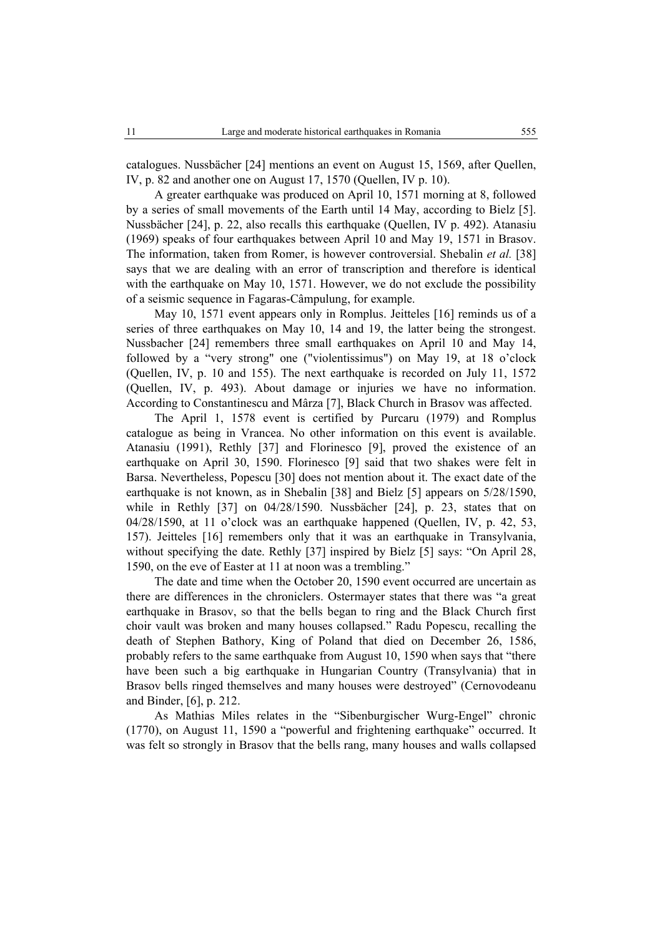catalogues. Nussbächer [24] mentions an event on August 15, 1569, after Quellen, IV, p. 82 and another one on August 17, 1570 (Quellen, IV p. 10).

A greater earthquake was produced on April 10, 1571 morning at 8, followed by a series of small movements of the Earth until 14 May, according to Bielz [5]. Nussbächer [24], p. 22, also recalls this earthquake (Quellen, IV p. 492). Atanasiu (1969) speaks of four earthquakes between April 10 and May 19, 1571 in Brasov. The information, taken from Romer, is however controversial. Shebalin *et al.* [38] says that we are dealing with an error of transcription and therefore is identical with the earthquake on May 10, 1571. However, we do not exclude the possibility of a seismic sequence in Fagaras-Câmpulung, for example.

May 10, 1571 event appears only in Romplus. Jeitteles [16] reminds us of a series of three earthquakes on May 10, 14 and 19, the latter being the strongest. Nussbacher [24] remembers three small earthquakes on April 10 and May 14, followed by a "very strong" one ("violentissimus") on May 19, at 18 o'clock (Quellen, IV, p. 10 and 155). The next earthquake is recorded on July 11, 1572 (Quellen, IV, p. 493). About damage or injuries we have no information. According to Constantinescu and Mârza [7], Black Church in Brasov was affected.

The April 1, 1578 event is certified by Purcaru (1979) and Romplus catalogue as being in Vrancea. No other information on this event is available. Atanasiu (1991), Rethly [37] and Florinesco [9], proved the existence of an earthquake on April 30, 1590. Florinesco [9] said that two shakes were felt in Barsa. Nevertheless, Popescu [30] does not mention about it. The exact date of the earthquake is not known, as in Shebalin [38] and Bielz [5] appears on 5/28/1590, while in Rethly [37] on 04/28/1590. Nussbächer [24], p. 23, states that on 04/28/1590, at 11 o'clock was an earthquake happened (Quellen, IV, p. 42, 53, 157). Jeitteles [16] remembers only that it was an earthquake in Transylvania, without specifying the date. Rethly [37] inspired by Bielz [5] says: "On April 28, 1590, on the eve of Easter at 11 at noon was a trembling."

The date and time when the October 20, 1590 event occurred are uncertain as there are differences in the chroniclers. Ostermayer states that there was "a great earthquake in Brasov, so that the bells began to ring and the Black Church first choir vault was broken and many houses collapsed." Radu Popescu, recalling the death of Stephen Bathory, King of Poland that died on December 26, 1586, probably refers to the same earthquake from August 10, 1590 when says that "there have been such a big earthquake in Hungarian Country (Transylvania) that in Brasov bells ringed themselves and many houses were destroyed" (Cernovodeanu and Binder, [6], p. 212.

As Mathias Miles relates in the "Sibenburgischer Wurg-Engel" chronic (1770), on August 11, 1590 a "powerful and frightening earthquake" occurred. It was felt so strongly in Brasov that the bells rang, many houses and walls collapsed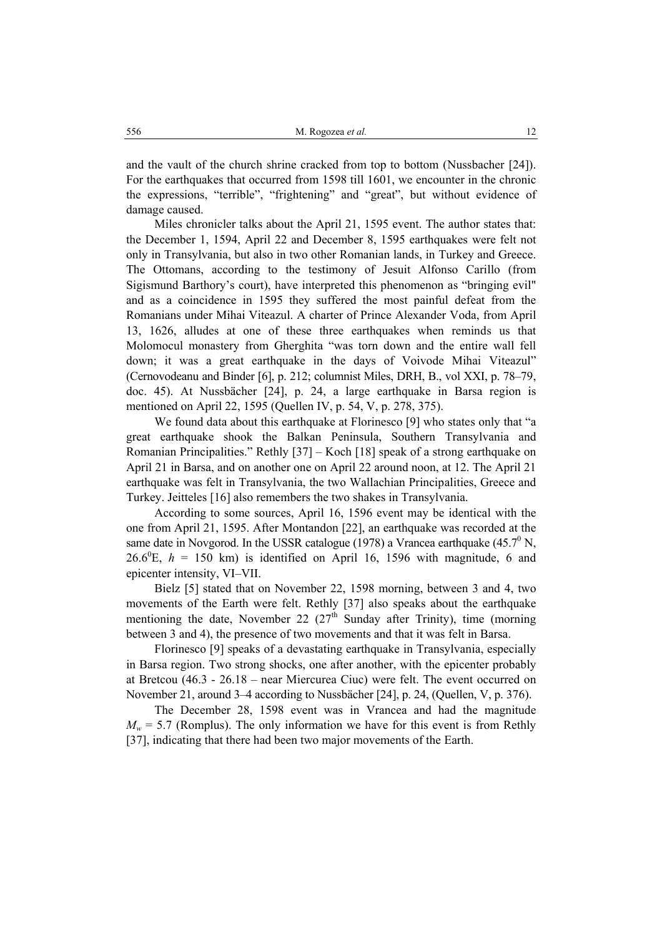and the vault of the church shrine cracked from top to bottom (Nussbacher [24]). For the earthquakes that occurred from 1598 till 1601, we encounter in the chronic the expressions, "terrible", "frightening" and "great", but without evidence of damage caused.

Miles chronicler talks about the April 21, 1595 event. The author states that: the December 1, 1594, April 22 and December 8, 1595 earthquakes were felt not only in Transylvania, but also in two other Romanian lands, in Turkey and Greece. The Ottomans, according to the testimony of Jesuit Alfonso Carillo (from Sigismund Barthory's court), have interpreted this phenomenon as "bringing evil" and as a coincidence in 1595 they suffered the most painful defeat from the Romanians under Mihai Viteazul. A charter of Prince Alexander Voda, from April 13, 1626, alludes at one of these three earthquakes when reminds us that Molomocul monastery from Gherghita "was torn down and the entire wall fell down; it was a great earthquake in the days of Voivode Mihai Viteazul" (Cernovodeanu and Binder [6], p. 212; columnist Miles, DRH, B., vol XXI, p. 78–79, doc. 45). At Nussbächer [24], p. 24, a large earthquake in Barsa region is mentioned on April 22, 1595 (Quellen IV, p. 54, V, p. 278, 375).

We found data about this earthquake at Florinesco [9] who states only that "a great earthquake shook the Balkan Peninsula, Southern Transylvania and Romanian Principalities." Rethly [37] – Koch [18] speak of a strong earthquake on April 21 in Barsa, and on another one on April 22 around noon, at 12. The April 21 earthquake was felt in Transylvania, the two Wallachian Principalities, Greece and Turkey. Jeitteles [16] also remembers the two shakes in Transylvania.

According to some sources, April 16, 1596 event may be identical with the one from April 21, 1595. After Montandon [22], an earthquake was recorded at the same date in Novgorod. In the USSR catalogue (1978) a Vrancea earthquake (45.7 $^{\circ}$  N,  $26.6^{\circ}$ E,  $h = 150$  km) is identified on April 16, 1596 with magnitude, 6 and epicenter intensity, VI–VII.

Bielz [5] stated that on November 22, 1598 morning, between 3 and 4, two movements of the Earth were felt. Rethly [37] also speaks about the earthquake mentioning the date, November 22  $(27<sup>th</sup>$  Sunday after Trinity), time (morning between 3 and 4), the presence of two movements and that it was felt in Barsa.

Florinesco [9] speaks of a devastating earthquake in Transylvania, especially in Barsa region. Two strong shocks, one after another, with the epicenter probably at Bretcou (46.3 - 26.18 – near Miercurea Ciuc) were felt. The event occurred on November 21, around 3–4 according to Nussbächer [24], p. 24, (Quellen, V, p. 376).

The December 28, 1598 event was in Vrancea and had the magnitude  $M_w = 5.7$  (Romplus). The only information we have for this event is from Rethly [37], indicating that there had been two major movements of the Earth.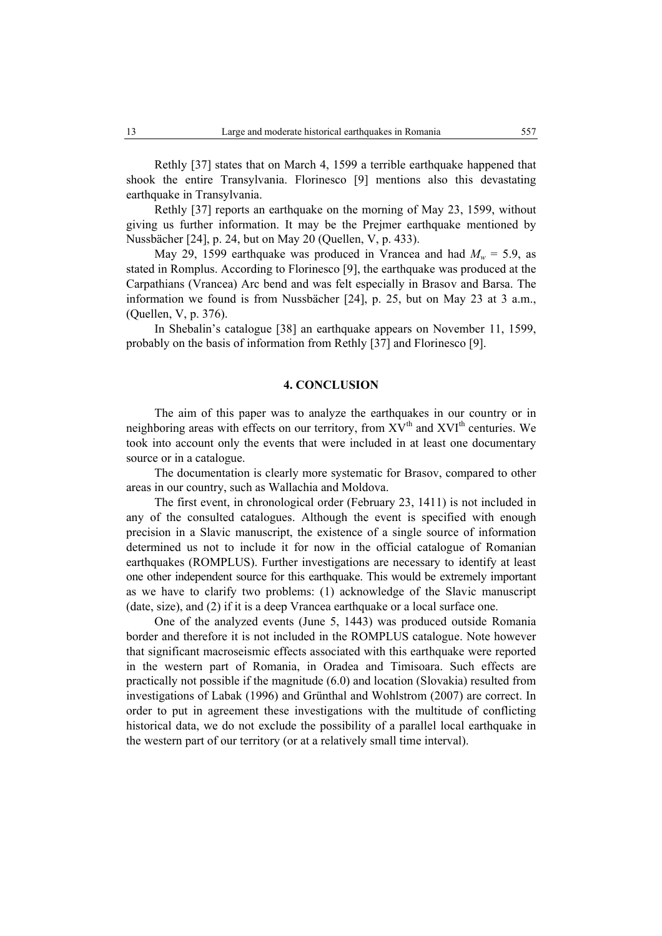Rethly [37] states that on March 4, 1599 a terrible earthquake happened that shook the entire Transylvania. Florinesco [9] mentions also this devastating earthquake in Transylvania.

Rethly [37] reports an earthquake on the morning of May 23, 1599, without giving us further information. It may be the Prejmer earthquake mentioned by Nussbächer [24], p. 24, but on May 20 (Quellen, V, p. 433).

May 29, 1599 earthquake was produced in Vrancea and had  $M_w = 5.9$ , as stated in Romplus. According to Florinesco [9], the earthquake was produced at the Carpathians (Vrancea) Arc bend and was felt especially in Brasov and Barsa. The information we found is from Nussbächer [24], p. 25, but on May 23 at 3 a.m., (Quellen, V, p. 376).

In Shebalin's catalogue [38] an earthquake appears on November 11, 1599, probably on the basis of information from Rethly [37] and Florinesco [9].

#### **4. CONCLUSION**

The aim of this paper was to analyze the earthquakes in our country or in neighboring areas with effects on our territory, from  $XV<sup>th</sup>$  and  $XVI<sup>th</sup>$  centuries. We took into account only the events that were included in at least one documentary source or in a catalogue.

The documentation is clearly more systematic for Brasov, compared to other areas in our country, such as Wallachia and Moldova.

The first event, in chronological order (February 23, 1411) is not included in any of the consulted catalogues. Although the event is specified with enough precision in a Slavic manuscript, the existence of a single source of information determined us not to include it for now in the official catalogue of Romanian earthquakes (ROMPLUS). Further investigations are necessary to identify at least one other independent source for this earthquake. This would be extremely important as we have to clarify two problems: (1) acknowledge of the Slavic manuscript (date, size), and (2) if it is a deep Vrancea earthquake or a local surface one.

One of the analyzed events (June 5, 1443) was produced outside Romania border and therefore it is not included in the ROMPLUS catalogue. Note however that significant macroseismic effects associated with this earthquake were reported in the western part of Romania, in Oradea and Timisoara. Such effects are practically not possible if the magnitude (6.0) and location (Slovakia) resulted from investigations of Labak (1996) and Grünthal and Wohlstrom (2007) are correct. In order to put in agreement these investigations with the multitude of conflicting historical data, we do not exclude the possibility of a parallel local earthquake in the western part of our territory (or at a relatively small time interval).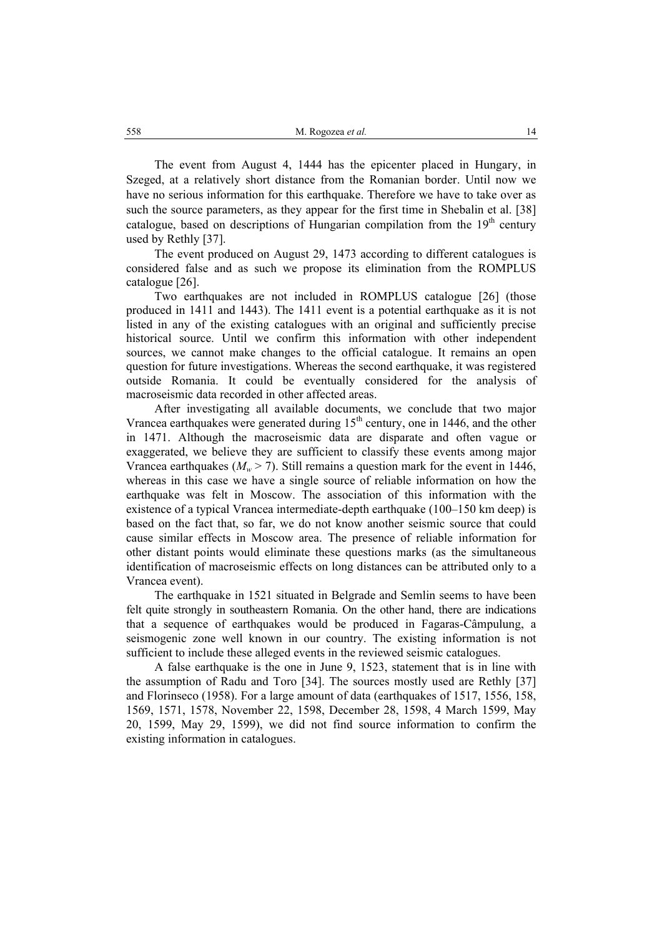The event from August 4, 1444 has the epicenter placed in Hungary, in Szeged, at a relatively short distance from the Romanian border. Until now we have no serious information for this earthquake. Therefore we have to take over as such the source parameters, as they appear for the first time in Shebalin et al. [38] catalogue, based on descriptions of Hungarian compilation from the  $19<sup>th</sup>$  century used by Rethly [37].

The event produced on August 29, 1473 according to different catalogues is considered false and as such we propose its elimination from the ROMPLUS catalogue [26].

Two earthquakes are not included in ROMPLUS catalogue [26] (those produced in 1411 and 1443). The 1411 event is a potential earthquake as it is not listed in any of the existing catalogues with an original and sufficiently precise historical source. Until we confirm this information with other independent sources, we cannot make changes to the official catalogue. It remains an open question for future investigations. Whereas the second earthquake, it was registered outside Romania. It could be eventually considered for the analysis of macroseismic data recorded in other affected areas.

After investigating all available documents, we conclude that two major Vrancea earthquakes were generated during  $15<sup>th</sup>$  century, one in 1446, and the other in 1471. Although the macroseismic data are disparate and often vague or exaggerated, we believe they are sufficient to classify these events among major Vrancea earthquakes ( $M_w > 7$ ). Still remains a question mark for the event in 1446, whereas in this case we have a single source of reliable information on how the earthquake was felt in Moscow. The association of this information with the existence of a typical Vrancea intermediate-depth earthquake (100–150 km deep) is based on the fact that, so far, we do not know another seismic source that could cause similar effects in Moscow area. The presence of reliable information for other distant points would eliminate these questions marks (as the simultaneous identification of macroseismic effects on long distances can be attributed only to a Vrancea event).

The earthquake in 1521 situated in Belgrade and Semlin seems to have been felt quite strongly in southeastern Romania. On the other hand, there are indications that a sequence of earthquakes would be produced in Fagaras-Câmpulung, a seismogenic zone well known in our country. The existing information is not sufficient to include these alleged events in the reviewed seismic catalogues.

A false earthquake is the one in June 9, 1523, statement that is in line with the assumption of Radu and Toro [34]. The sources mostly used are Rethly [37] and Florinseco (1958). For a large amount of data (earthquakes of 1517, 1556, 158, 1569, 1571, 1578, November 22, 1598, December 28, 1598, 4 March 1599, May 20, 1599, May 29, 1599), we did not find source information to confirm the existing information in catalogues.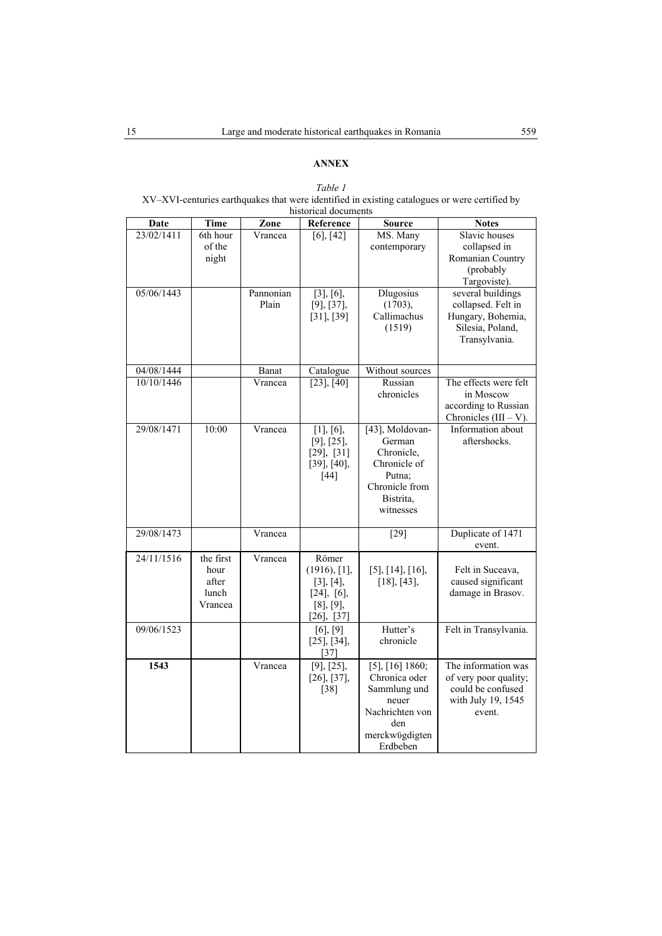## **ANNEX**

## *Table 1*

XV–XVI-centuries earthquakes that were identified in existing catalogues or were certified by historical documents

| Date       | <b>Time</b>                                    | Zone               | Reference                                                                                    | <b>Source</b>                                                                                                          | <b>Notes</b>                                                                                      |
|------------|------------------------------------------------|--------------------|----------------------------------------------------------------------------------------------|------------------------------------------------------------------------------------------------------------------------|---------------------------------------------------------------------------------------------------|
| 23/02/1411 | 6th hour<br>of the<br>night                    | Vrancea            | $\overline{[6]}, \overline{[42]}$                                                            | MS. Many<br>contemporary                                                                                               | Slavic houses<br>collapsed in<br>Romanian Country<br>(probably<br>Targoviste).                    |
| 05/06/1443 |                                                | Pannonian<br>Plain | $[3]$ , $[6]$ ,<br>[9], [37],<br>[31], [39]                                                  | <b>Dlugosius</b><br>(1703),<br>Callimachus<br>(1519)                                                                   | several buildings<br>collapsed. Felt in<br>Hungary, Bohemia,<br>Silesia, Poland,<br>Transylvania. |
| 04/08/1444 |                                                | Banat              | Catalogue                                                                                    | Without sources                                                                                                        |                                                                                                   |
| 10/10/1446 |                                                | Vrancea            | $[23]$ , $[40]$                                                                              | Russian<br>chronicles                                                                                                  | The effects were felt<br>in Moscow<br>according to Russian<br>Chronicles $(III - V)$ .            |
| 29/08/1471 | 10:00                                          | Vrancea            | $[1]$ , $[6]$ ,<br>[9], [25],<br>$[29]$ , $[31]$<br>$[39]$ , $[40]$ ,<br>$[44]$              | [43], Moldovan-<br>German<br>Chronicle,<br>Chronicle of<br>Putna;<br>Chronicle from<br>Bistrita,<br>witnesses          | Information about<br>aftershocks.                                                                 |
| 29/08/1473 |                                                | Vrancea            |                                                                                              | $\boxed{29}$                                                                                                           | Duplicate of 1471<br>event.                                                                       |
| 24/11/1516 | the first<br>hour<br>after<br>lunch<br>Vrancea | Vrancea            | Römer<br>(1916), [1],<br>[3], [4],<br>$[24]$ , $[6]$ ,<br>$[8]$ , $[9]$ ,<br>$[26]$ , $[37]$ | $[5]$ , $[14]$ , $[16]$ ,<br>$[18]$ , $[43]$ ,                                                                         | Felt in Suceava,<br>caused significant<br>damage in Brasov.                                       |
| 09/06/1523 |                                                |                    | $[6]$ , $[9]$<br>$[25]$ , $[34]$ ,<br>[37]                                                   | Hutter's<br>chronicle                                                                                                  | Felt in Transylvania.                                                                             |
| 1543       |                                                | Vrancea            | $[9]$ , $[25]$ ,<br>$[26]$ , $[37]$ ,<br>[38]                                                | $[5]$ , $[16]$ 1860;<br>Chronica oder<br>Sammlung und<br>neuer<br>Nachrichten von<br>den<br>merckwögdigten<br>Erdbeben | The information was<br>of very poor quality;<br>could be confused<br>with July 19, 1545<br>event. |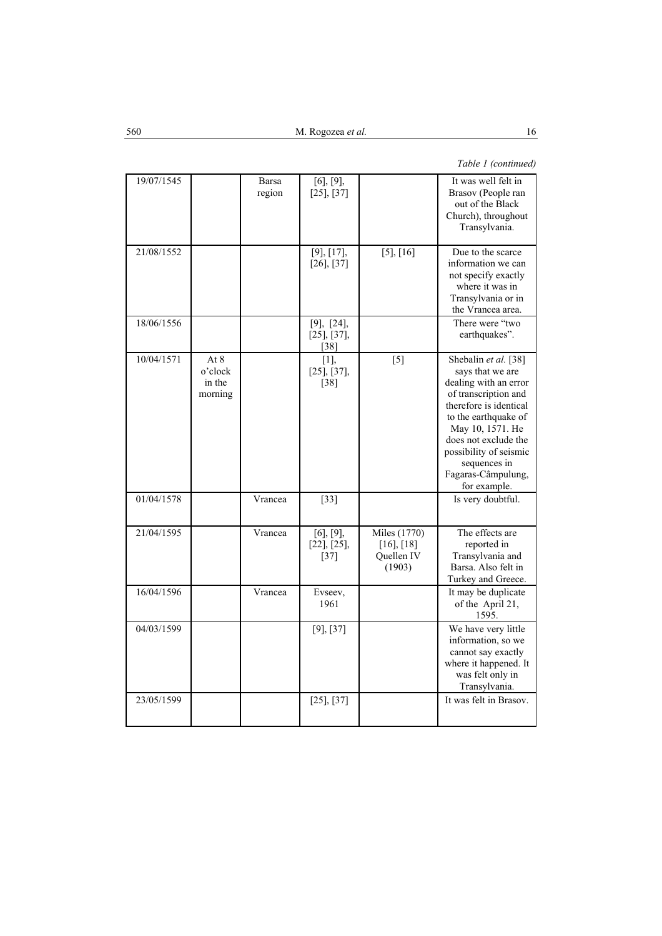## *Table 1 (continued)*

| 19/07/1545 |                                        | Barsa<br>region | $[6]$ , $[9]$ ,<br>$[25]$ , $[37]$             |                                                         | It was well felt in<br>Brasov (People ran<br>out of the Black<br>Church), throughout<br>Transylvania.                                                                                                                                                                   |
|------------|----------------------------------------|-----------------|------------------------------------------------|---------------------------------------------------------|-------------------------------------------------------------------------------------------------------------------------------------------------------------------------------------------------------------------------------------------------------------------------|
| 21/08/1552 |                                        |                 | [9], [17],<br>$[26]$ , $[37]$                  | $[5]$ , $[16]$                                          | Due to the scarce<br>information we can<br>not specify exactly<br>where it was in<br>Transylvania or in<br>the Vrancea area.                                                                                                                                            |
| 18/06/1556 |                                        |                 | [9], [24],<br>$[25]$ , $[37]$ ,<br>$[38]$      |                                                         | There were "two<br>earthquakes".                                                                                                                                                                                                                                        |
| 10/04/1571 | At $8$<br>o'clock<br>in the<br>morning |                 | [1]<br>$[25]$ , $[37]$ ,<br>[38]               | [5]                                                     | Shebalin et al. [38]<br>says that we are<br>dealing with an error<br>of transcription and<br>therefore is identical<br>to the earthquake of<br>May 10, 1571. He<br>does not exclude the<br>possibility of seismic<br>sequences in<br>Fagaras-Câmpulung,<br>for example. |
| 01/04/1578 |                                        | Vrancea         | $[33]$                                         |                                                         | Is very doubtful.                                                                                                                                                                                                                                                       |
| 21/04/1595 |                                        | Vrancea         | $[6]$ , $[9]$ ,<br>$[22]$ , $[25]$ ,<br>$[37]$ | Miles (1770)<br>$[16]$ , $[18]$<br>Quellen IV<br>(1903) | The effects are<br>reported in<br>Transylvania and<br>Barsa. Also felt in<br>Turkey and Greece.                                                                                                                                                                         |
| 16/04/1596 |                                        | Vrancea         | Evseev,<br>1961                                |                                                         | It may be duplicate<br>of the April 21,<br>1595.                                                                                                                                                                                                                        |
| 04/03/1599 |                                        |                 | [9], [37]                                      |                                                         | We have very little<br>information, so we<br>cannot say exactly<br>where it happened. It<br>was felt only in<br>Transylvania.                                                                                                                                           |
| 23/05/1599 |                                        |                 | $[25]$ , $[37]$                                |                                                         | It was felt in Brasov.                                                                                                                                                                                                                                                  |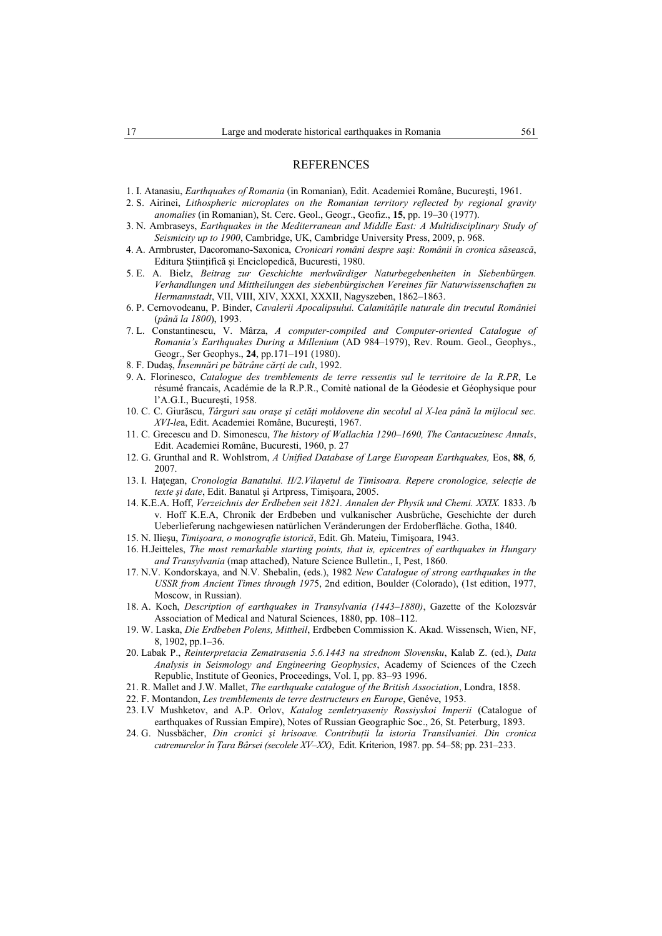#### REFERENCES

- 1. I. Atanasiu, *Earthquakes of Romania* (in Romanian), Edit. Academiei Române, Bucureşti, 1961.
- 2. S. Airinei, *Lithospheric microplates on the Romanian territory reflected by regional gravity anomalies* (in Romanian), St. Cerc. Geol., Geogr., Geofiz., **15**, pp. 19–30 (1977).
- 3. N. Ambraseys, *Earthquakes in the Mediterranean and Middle East: A Multidisciplinary Study of Seismicity up to 1900*, Cambridge, UK, Cambridge University Press, 2009, p. 968.
- 4. A. Armbruster, Dacoromano-Saxonica, *Cronicari români despre saşi: Românii în cronica săsească*, Editura Ştiinţifică şi Enciclopedică, Bucuresti, 1980.
- 5. E. A. Bielz, *Beitrag zur Geschichte merkwürdiger Naturbegebenheiten in Siebenbürgen. Verhandlungen und Mittheilungen des siebenbürgischen Vereines für Naturwissenschaften zu Hermannstadt*, VII, VIII, XIV, XXXI, XXXII, Nagyszeben, 1862–1863.
- 6. P. Cernovodeanu, P. Binder, *Cavalerii Apocalipsului. Calamităţile naturale din trecutul României* (*până la 1800*), 1993.
- 7. L. Constantinescu, V. Mârza, *A computer-compiled and Computer-oriented Catalogue of Romania's Earthquakes During a Millenium* (AD 984–1979), Rev. Roum. Geol., Geophys., Geogr., Ser Geophys., **24**, pp.171–191 (1980).
- 8. F. Dudaş, *Însemnări pe bătrâne cărţi de cult*, 1992.
- 9. A. Florinesco, *Catalogue des tremblements de terre ressentis sul le territoire de la R.PR*, Le résumé francais, Académie de la R.P.R., Comitè national de la Géodesie et Géophysique pour l'A.G.I., Bucureşti, 1958.
- 10. C. C. Giurăscu, *Târguri sau oraşe şi cetăţi moldovene din secolul al X-lea până la mijlocul sec. XVI-le*a, Edit. Academiei Române, Bucureşti, 1967.
- 11. C. Grecescu and D. Simonescu, *The history of Wallachia 1290–1690, The Cantacuzinesc Annals*, Edit. Academiei Române, Bucuresti, 1960, p. 27
- 12. G. Grunthal and R. Wohlstrom, *A Unified Database of Large European Earthquakes,* Eos, **88**, *6,* 2007.
- 13. I. Haţegan, *Cronologia Banatului. II/2.Vilayetul de Timisoara. Repere cronologice, selecţie de texte şi date*, Edit. Banatul şi Artpress, Timişoara, 2005.
- 14. K.E.A. Hoff, *Verzeichnis der Erdbeben seit 1821. Annalen der Physik und Chemi. XXIX.* 1833. /b v. Hoff K.E.A, Chronik der Erdbeben und vulkanischer Ausbrüche, Geschichte der durch Ueberlieferung nachgewiesen natürlichen Veränderungen der Erdoberfläche. Gotha, 1840.
- 15. N. Ilieşu, *Timişoara, o monografie istorică*, Edit. Gh. Mateiu, Timişoara, 1943.
- 16. H.Jeitteles, *The most remarkable starting points, that is, epicentres of earthquakes in Hungary and Transylvania* (map attached), Nature Science Bulletin., I, Pest, 1860.
- 17. N.V. Kondorskaya, and N.V. Shebalin, (eds.), 1982 *New Catalogue of strong earthquakes in the USSR from Ancient Times through 197*5, 2nd edition, Boulder (Colorado), (1st edition, 1977, Moscow, in Russian).
- 18. A. Koch, *Description of earthquakes in Transylvania (1443–1880)*, Gazette of the Kolozsvár Association of Medical and Natural Sciences, 1880, pp. 108–112.
- 19. W. Laska, *Die Erdbeben Polens, Mittheil*, Erdbeben Commission K. Akad. Wissensch, Wien, NF, 8, 1902, pp.1–36.
- 20. Labak P., *Reinterpretacia Zematrasenia 5.6.1443 na strednom Slovensku*, Kalab Z. (ed.), *Data Analysis in Seismology and Engineering Geophysics*, Academy of Sciences of the Czech Republic, Institute of Geonics, Proceedings, Vol. I, pp. 83–93 1996.
- 21. R. Mallet and J.W. Mallet, *The earthquake catalogue of the British Association*, Londra, 1858.
- 22. F. Montandon, *Les tremblements de terre destructeurs en Europe*, Genéve, 1953.
- 23. I.V Mushketov, and A.P. Orlov, *Katalog zemletryaseniy Rossiyskoi Imperii* (Catalogue of earthquakes of Russian Empire), Notes of Russian Geographic Soc., 26, St. Peterburg, 1893.
- 24. G. Nussbächer, *Din cronici şi hrisoave. Contribuţii la istoria Transilvaniei. Din cronica cutremurelor în Ţara Bârsei (secolele XV–XX)*, Edit. Kriterion, 1987. pp. 54–58; pp. 231–233.